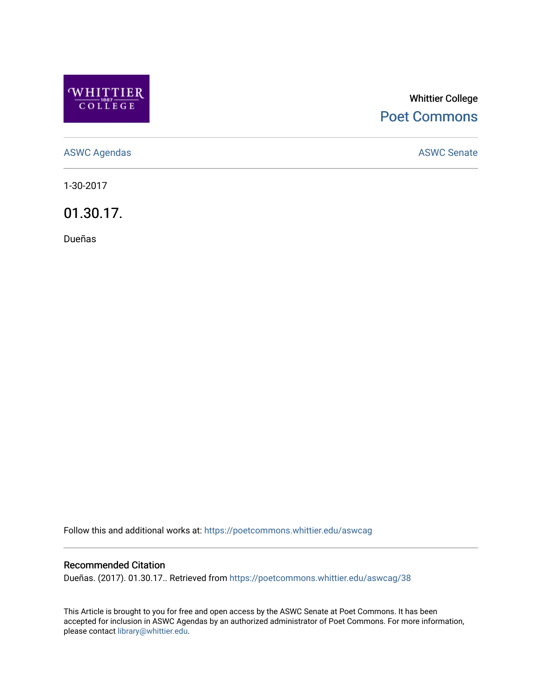

## Whittier College [Poet Commons](https://poetcommons.whittier.edu/)

[ASWC Agendas](https://poetcommons.whittier.edu/aswcag) **ASWC Senate** 

1-30-2017

01.30.17.

Dueñas

Follow this and additional works at: [https://poetcommons.whittier.edu/aswcag](https://poetcommons.whittier.edu/aswcag?utm_source=poetcommons.whittier.edu%2Faswcag%2F38&utm_medium=PDF&utm_campaign=PDFCoverPages) 

## Recommended Citation

Dueñas. (2017). 01.30.17.. Retrieved from [https://poetcommons.whittier.edu/aswcag/38](https://poetcommons.whittier.edu/aswcag/38?utm_source=poetcommons.whittier.edu%2Faswcag%2F38&utm_medium=PDF&utm_campaign=PDFCoverPages) 

This Article is brought to you for free and open access by the ASWC Senate at Poet Commons. It has been accepted for inclusion in ASWC Agendas by an authorized administrator of Poet Commons. For more information, please contact [library@whittier.edu](mailto:library@whittier.edu).